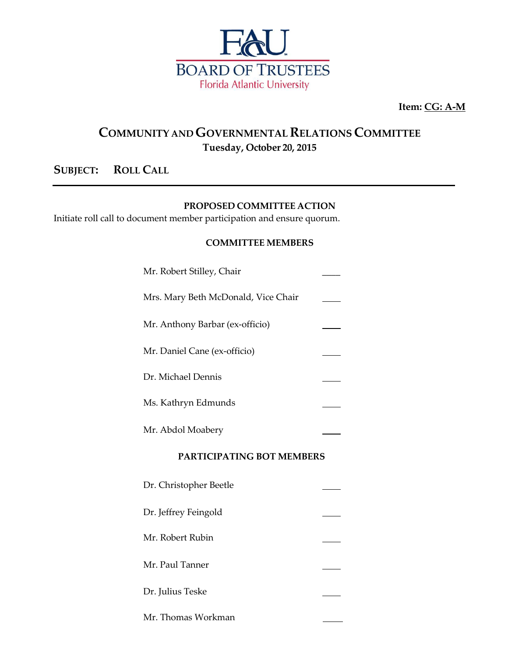

**Item: CG: A-M**

## **COMMUNITY ANDGOVERNMENTAL RELATIONS COMMITTEE Tuesday, October 20, 2015**

### **SUBJECT: ROLL CALL**

#### **PROPOSED COMMITTEE ACTION**

Initiate roll call to document member participation and ensure quorum.

#### **COMMITTEE MEMBERS**

| <b>PARTICIPATING BOT MEMBERS</b>    |  |  |
|-------------------------------------|--|--|
| Mr. Abdol Moabery                   |  |  |
| Ms. Kathryn Edmunds                 |  |  |
| Dr. Michael Dennis                  |  |  |
| Mr. Daniel Cane (ex-officio)        |  |  |
| Mr. Anthony Barbar (ex-officio)     |  |  |
| Mrs. Mary Beth McDonald, Vice Chair |  |  |
| Mr. Robert Stilley, Chair           |  |  |

| Dr. Christopher Beetle |  |
|------------------------|--|
| Dr. Jeffrey Feingold   |  |
| Mr. Robert Rubin       |  |
| Mr. Paul Tanner        |  |
| Dr. Julius Teske       |  |
| Mr. Thomas Workman     |  |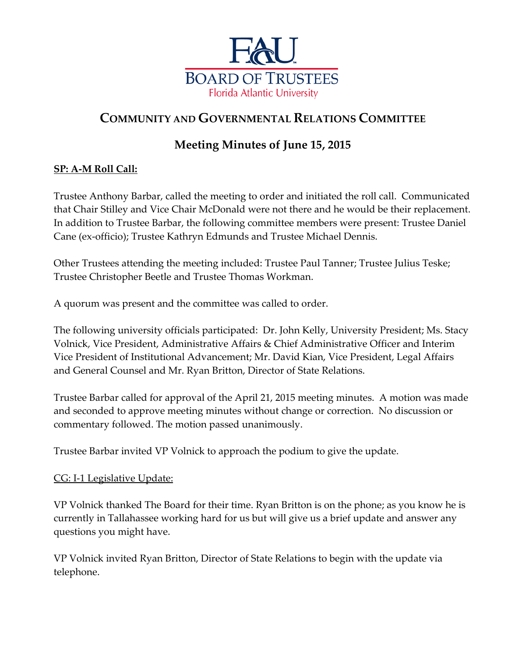

# **COMMUNITY AND GOVERNMENTAL RELATIONS COMMITTEE**

# **Meeting Minutes of June 15, 2015**

## **SP: A-M Roll Call:**

Trustee Anthony Barbar, called the meeting to order and initiated the roll call. Communicated that Chair Stilley and Vice Chair McDonald were not there and he would be their replacement. In addition to Trustee Barbar, the following committee members were present: Trustee Daniel Cane (ex-officio); Trustee Kathryn Edmunds and Trustee Michael Dennis.

Other Trustees attending the meeting included: Trustee Paul Tanner; Trustee Julius Teske; Trustee Christopher Beetle and Trustee Thomas Workman.

A quorum was present and the committee was called to order.

The following university officials participated: Dr. John Kelly, University President; Ms. Stacy Volnick, Vice President, Administrative Affairs & Chief Administrative Officer and Interim Vice President of Institutional Advancement; Mr. David Kian, Vice President, Legal Affairs and General Counsel and Mr. Ryan Britton, Director of State Relations.

Trustee Barbar called for approval of the April 21, 2015 meeting minutes. A motion was made and seconded to approve meeting minutes without change or correction. No discussion or commentary followed. The motion passed unanimously.

Trustee Barbar invited VP Volnick to approach the podium to give the update.

### CG: I-1 Legislative Update:

VP Volnick thanked The Board for their time. Ryan Britton is on the phone; as you know he is currently in Tallahassee working hard for us but will give us a brief update and answer any questions you might have.

VP Volnick invited Ryan Britton, Director of State Relations to begin with the update via telephone.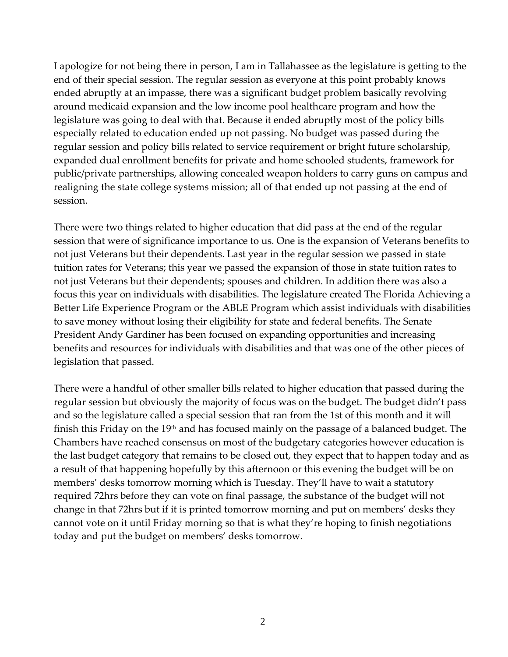I apologize for not being there in person, I am in Tallahassee as the legislature is getting to the end of their special session. The regular session as everyone at this point probably knows ended abruptly at an impasse, there was a significant budget problem basically revolving around medicaid expansion and the low income pool healthcare program and how the legislature was going to deal with that. Because it ended abruptly most of the policy bills especially related to education ended up not passing. No budget was passed during the regular session and policy bills related to service requirement or bright future scholarship, expanded dual enrollment benefits for private and home schooled students, framework for public/private partnerships, allowing concealed weapon holders to carry guns on campus and realigning the state college systems mission; all of that ended up not passing at the end of session.

There were two things related to higher education that did pass at the end of the regular session that were of significance importance to us. One is the expansion of Veterans benefits to not just Veterans but their dependents. Last year in the regular session we passed in state tuition rates for Veterans; this year we passed the expansion of those in state tuition rates to not just Veterans but their dependents; spouses and children. In addition there was also a focus this year on individuals with disabilities. The legislature created The Florida Achieving a Better Life Experience Program or the ABLE Program which assist individuals with disabilities to save money without losing their eligibility for state and federal benefits. The Senate President Andy Gardiner has been focused on expanding opportunities and increasing benefits and resources for individuals with disabilities and that was one of the other pieces of legislation that passed.

There were a handful of other smaller bills related to higher education that passed during the regular session but obviously the majority of focus was on the budget. The budget didn't pass and so the legislature called a special session that ran from the 1st of this month and it will finish this Friday on the 19<sup>th</sup> and has focused mainly on the passage of a balanced budget. The Chambers have reached consensus on most of the budgetary categories however education is the last budget category that remains to be closed out, they expect that to happen today and as a result of that happening hopefully by this afternoon or this evening the budget will be on members' desks tomorrow morning which is Tuesday. They'll have to wait a statutory required 72hrs before they can vote on final passage, the substance of the budget will not change in that 72hrs but if it is printed tomorrow morning and put on members' desks they cannot vote on it until Friday morning so that is what they're hoping to finish negotiations today and put the budget on members' desks tomorrow.